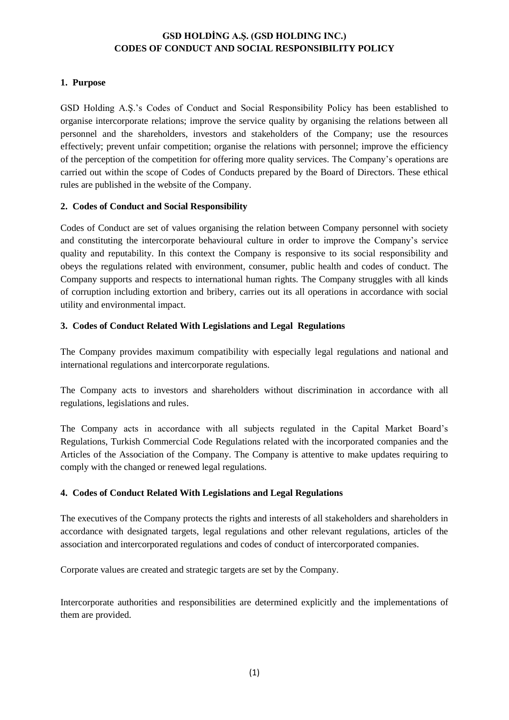# **GSD HOLDİNG A.Ş. (GSD HOLDING INC.) CODES OF CONDUCT AND SOCIAL RESPONSIBILITY POLICY**

### **1. Purpose**

GSD Holding A.Ş.'s Codes of Conduct and Social Responsibility Policy has been established to organise intercorporate relations; improve the service quality by organising the relations between all personnel and the shareholders, investors and stakeholders of the Company; use the resources effectively; prevent unfair competition; organise the relations with personnel; improve the efficiency of the perception of the competition for offering more quality services. The Company's operations are carried out within the scope of Codes of Conducts prepared by the Board of Directors. These ethical rules are published in the website of the Company.

#### **2. Codes of Conduct and Social Responsibility**

Codes of Conduct are set of values organising the relation between Company personnel with society and constituting the intercorporate behavioural culture in order to improve the Company's service quality and reputability. In this context the Company is responsive to its social responsibility and obeys the regulations related with environment, consumer, public health and codes of conduct. The Company supports and respects to international human rights. The Company struggles with all kinds of corruption including extortion and bribery, carries out its all operations in accordance with social utility and environmental impact.

## **3. Codes of Conduct Related With Legislations and Legal Regulations**

The Company provides maximum compatibility with especially legal regulations and national and international regulations and intercorporate regulations.

The Company acts to investors and shareholders without discrimination in accordance with all regulations, legislations and rules.

The Company acts in accordance with all subjects regulated in the Capital Market Board's Regulations, Turkish Commercial Code Regulations related with the incorporated companies and the Articles of the Association of the Company. The Company is attentive to make updates requiring to comply with the changed or renewed legal regulations.

## **4. Codes of Conduct Related With Legislations and Legal Regulations**

The executives of the Company protects the rights and interests of all stakeholders and shareholders in accordance with designated targets, legal regulations and other relevant regulations, articles of the association and intercorporated regulations and codes of conduct of intercorporated companies.

Corporate values are created and strategic targets are set by the Company.

Intercorporate authorities and responsibilities are determined explicitly and the implementations of them are provided.